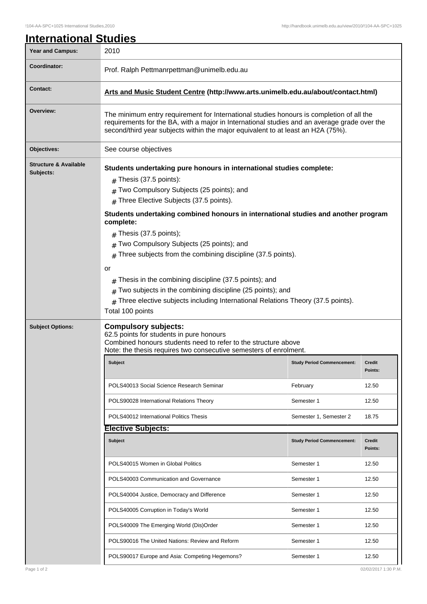| <b>Year and Campus:</b>                       | 2010                                                                                                                                                                                                                                                                                                                                                                                                                                                                                                                                                                                                                                                                                          |                                   |                          |  |  |
|-----------------------------------------------|-----------------------------------------------------------------------------------------------------------------------------------------------------------------------------------------------------------------------------------------------------------------------------------------------------------------------------------------------------------------------------------------------------------------------------------------------------------------------------------------------------------------------------------------------------------------------------------------------------------------------------------------------------------------------------------------------|-----------------------------------|--------------------------|--|--|
| Coordinator:                                  | Prof. Ralph Pettmanrpettman@unimelb.edu.au                                                                                                                                                                                                                                                                                                                                                                                                                                                                                                                                                                                                                                                    |                                   |                          |  |  |
| <b>Contact:</b>                               | Arts and Music Student Centre (http://www.arts.unimelb.edu.au/about/contact.html)                                                                                                                                                                                                                                                                                                                                                                                                                                                                                                                                                                                                             |                                   |                          |  |  |
| Overview:                                     | The minimum entry requirement for International studies honours is completion of all the<br>requirements for the BA, with a major in International studies and an average grade over the<br>second/third year subjects within the major equivalent to at least an H2A (75%).                                                                                                                                                                                                                                                                                                                                                                                                                  |                                   |                          |  |  |
| Objectives:                                   | See course objectives                                                                                                                                                                                                                                                                                                                                                                                                                                                                                                                                                                                                                                                                         |                                   |                          |  |  |
| <b>Structure &amp; Available</b><br>Subjects: | Students undertaking pure honours in international studies complete:<br>$#$ Thesis (37.5 points):<br>Two Compulsory Subjects (25 points); and<br>Three Elective Subjects (37.5 points).<br>#<br>Students undertaking combined honours in international studies and another program<br>complete:<br>$#$ Thesis (37.5 points);<br>Two Compulsory Subjects (25 points); and<br>Three subjects from the combining discipline (37.5 points).<br>or<br>Thesis in the combining discipline (37.5 points); and<br>#<br>Two subjects in the combining discipline (25 points); and<br>#<br>Three elective subjects including International Relations Theory (37.5 points).<br>$\pm$<br>Total 100 points |                                   |                          |  |  |
| <b>Subject Options:</b>                       | <b>Compulsory subjects:</b><br>62.5 points for students in pure honours<br>Combined honours students need to refer to the structure above<br>Note: the thesis requires two consecutive semesters of enrolment.                                                                                                                                                                                                                                                                                                                                                                                                                                                                                |                                   |                          |  |  |
|                                               | <b>Subject</b>                                                                                                                                                                                                                                                                                                                                                                                                                                                                                                                                                                                                                                                                                | <b>Study Period Commencement:</b> | <b>Credit</b><br>Points: |  |  |
|                                               | POLS40013 Social Science Research Seminar                                                                                                                                                                                                                                                                                                                                                                                                                                                                                                                                                                                                                                                     | February                          | 12.50                    |  |  |
|                                               | POLS90028 International Relations Theory                                                                                                                                                                                                                                                                                                                                                                                                                                                                                                                                                                                                                                                      | Semester 1                        | 12.50                    |  |  |
|                                               | POLS40012 International Politics Thesis                                                                                                                                                                                                                                                                                                                                                                                                                                                                                                                                                                                                                                                       | Semester 1, Semester 2            | 18.75                    |  |  |
|                                               | <b>Elective Subjects:</b>                                                                                                                                                                                                                                                                                                                                                                                                                                                                                                                                                                                                                                                                     |                                   |                          |  |  |
|                                               |                                                                                                                                                                                                                                                                                                                                                                                                                                                                                                                                                                                                                                                                                               |                                   |                          |  |  |
|                                               | <b>Subject</b>                                                                                                                                                                                                                                                                                                                                                                                                                                                                                                                                                                                                                                                                                | <b>Study Period Commencement:</b> | <b>Credit</b><br>Points: |  |  |
|                                               | POLS40015 Women in Global Politics                                                                                                                                                                                                                                                                                                                                                                                                                                                                                                                                                                                                                                                            | Semester 1                        | 12.50                    |  |  |
|                                               | POLS40003 Communication and Governance                                                                                                                                                                                                                                                                                                                                                                                                                                                                                                                                                                                                                                                        | Semester 1                        | 12.50                    |  |  |
|                                               | POLS40004 Justice, Democracy and Difference                                                                                                                                                                                                                                                                                                                                                                                                                                                                                                                                                                                                                                                   | Semester 1                        | 12.50                    |  |  |
|                                               | POLS40005 Corruption in Today's World                                                                                                                                                                                                                                                                                                                                                                                                                                                                                                                                                                                                                                                         | Semester 1                        | 12.50                    |  |  |
|                                               | POLS40009 The Emerging World (Dis)Order                                                                                                                                                                                                                                                                                                                                                                                                                                                                                                                                                                                                                                                       | Semester 1                        | 12.50                    |  |  |
|                                               | POLS90016 The United Nations: Review and Reform                                                                                                                                                                                                                                                                                                                                                                                                                                                                                                                                                                                                                                               | Semester 1                        | 12.50                    |  |  |